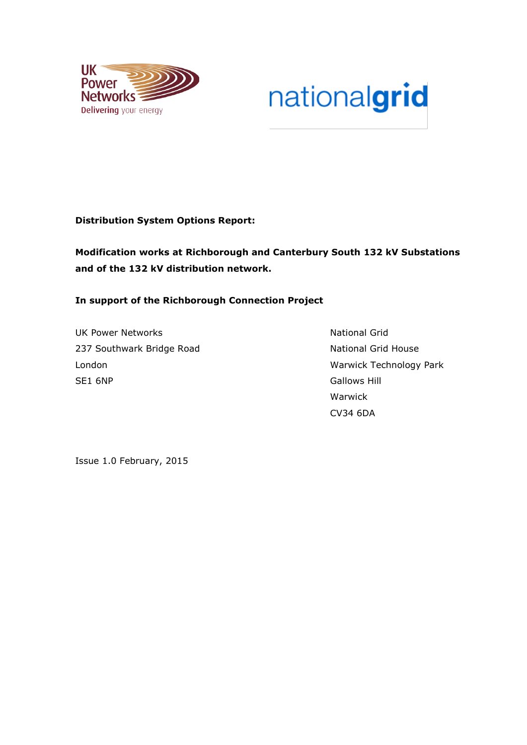

# nationalgrid

# **Distribution System Options Report:**

**Modification works at Richborough and Canterbury South 132 kV Substations and of the 132 kV distribution network.**

# **In support of the Richborough Connection Project**

UK Power Networks National Grid 237 Southwark Bridge Road National Grid House London Warwick Technology Park SE1 6NP Gallows Hill

Warwick CV34 6DA

Issue 1.0 February, 2015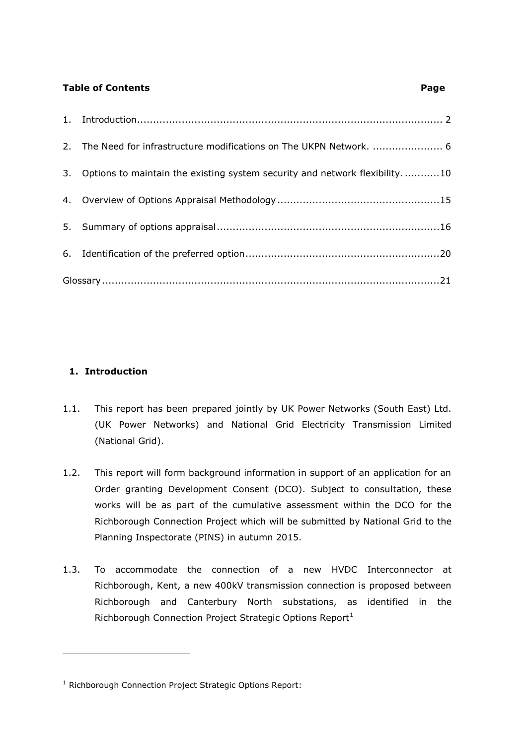# **Table of Contents** Page **Page 2014**

| 2. The Need for infrastructure modifications on The UKPN Network.  6            |  |
|---------------------------------------------------------------------------------|--|
| 3. Options to maintain the existing system security and network flexibility. 10 |  |
|                                                                                 |  |
|                                                                                 |  |
|                                                                                 |  |
|                                                                                 |  |

# <span id="page-1-0"></span>**1. Introduction**

-

- 1.1. This report has been prepared jointly by UK Power Networks (South East) Ltd. (UK Power Networks) and National Grid Electricity Transmission Limited (National Grid).
- 1.2. This report will form background information in support of an application for an Order granting Development Consent (DCO). Subject to consultation, these works will be as part of the cumulative assessment within the DCO for the Richborough Connection Project which will be submitted by National Grid to the Planning Inspectorate (PINS) in autumn 2015.
- 1.3. To accommodate the connection of a new HVDC Interconnector at Richborough, Kent, a new 400kV transmission connection is proposed between Richborough and Canterbury North substations, as identified in the Richborough Connection Project Strategic Options Report $<sup>1</sup>$ </sup>

<sup>&</sup>lt;sup>1</sup> Richborough Connection Project Strategic Options Report: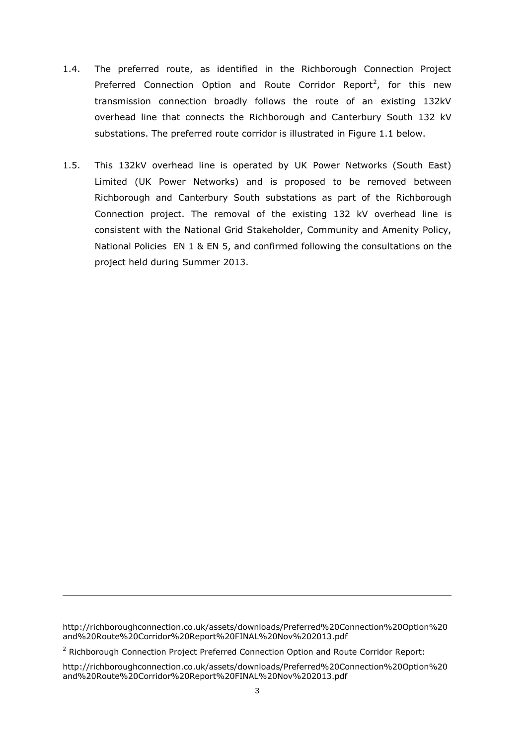- 1.4. The preferred route, as identified in the Richborough Connection Project Preferred Connection Option and Route Corridor Report<sup>2</sup>, for this new transmission connection broadly follows the route of an existing 132kV overhead line that connects the Richborough and Canterbury South 132 kV substations. The preferred route corridor is illustrated in Figure 1.1 below.
- 1.5. This 132kV overhead line is operated by UK Power Networks (South East) Limited (UK Power Networks) and is proposed to be removed between Richborough and Canterbury South substations as part of the Richborough Connection project. The removal of the existing 132 kV overhead line is consistent with the National Grid Stakeholder, Community and Amenity Policy, National Policies EN 1 & EN 5, and confirmed following the consultations on the project held during Summer 2013.

http://richboroughconnection.co.uk/assets/downloads/Preferred%20Connection%20Option%20 and%20Route%20Corridor%20Report%20FINAL%20Nov%202013.pdf

<sup>&</sup>lt;sup>2</sup> Richborough Connection Project Preferred Connection Option and Route Corridor Report:

http://richboroughconnection.co.uk/assets/downloads/Preferred%20Connection%20Option%20 and%20Route%20Corridor%20Report%20FINAL%20Nov%202013.pdf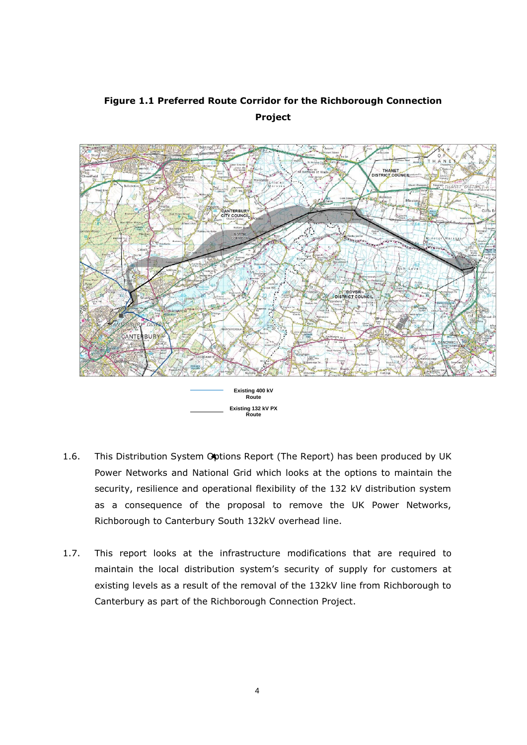

# **Figure 1.1 Preferred Route Corridor for the Richborough Connection Project**

- 1.6. This Distribution System Options Report (The Report) has been produced by UK Power Networks and National Grid which looks at the options to maintain the security, resilience and operational flexibility of the 132 kV distribution system as a consequence of the proposal to remove the UK Power Networks, Richborough to Canterbury South 132kV overhead line.
- 1.7. This report looks at the infrastructure modifications that are required to maintain the local distribution system's security of supply for customers at existing levels as a result of the removal of the 132kV line from Richborough to Canterbury as part of the Richborough Connection Project.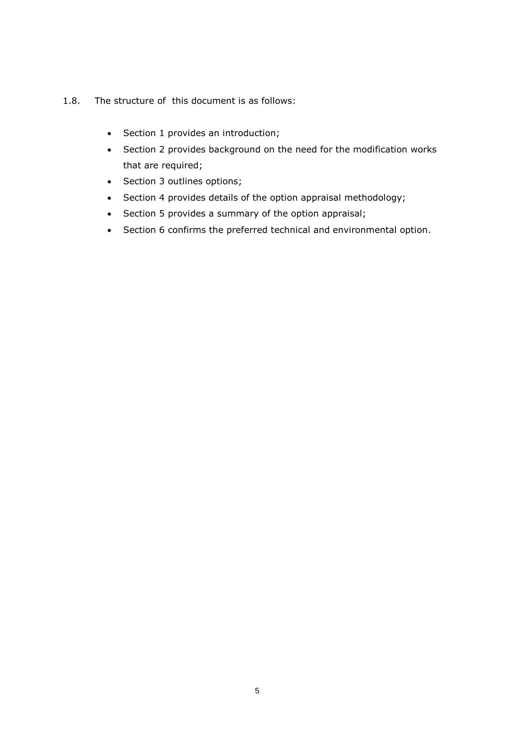- 1.8. The structure of this document is as follows:
	- Section 1 provides an introduction;
	- Section 2 provides background on the need for the modification works that are required;
	- Section 3 outlines options;
	- Section 4 provides details of the option appraisal methodology;
	- Section 5 provides a summary of the option appraisal;
	- Section 6 confirms the preferred technical and environmental option.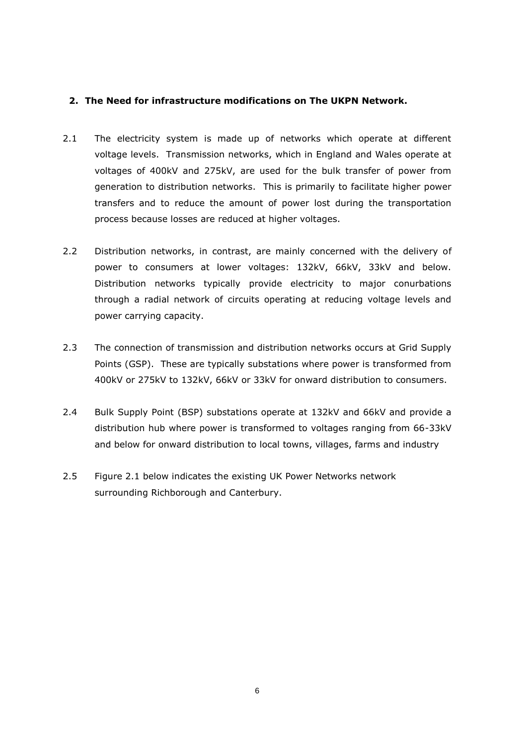#### <span id="page-5-0"></span>**2. The Need for infrastructure modifications on The UKPN Network.**

- 2.1 The electricity system is made up of networks which operate at different voltage levels. Transmission networks, which in England and Wales operate at voltages of 400kV and 275kV, are used for the bulk transfer of power from generation to distribution networks. This is primarily to facilitate higher power transfers and to reduce the amount of power lost during the transportation process because losses are reduced at higher voltages.
- 2.2 Distribution networks, in contrast, are mainly concerned with the delivery of power to consumers at lower voltages: 132kV, 66kV, 33kV and below. Distribution networks typically provide electricity to major conurbations through a radial network of circuits operating at reducing voltage levels and power carrying capacity.
- 2.3 The connection of transmission and distribution networks occurs at Grid Supply Points (GSP). These are typically substations where power is transformed from 400kV or 275kV to 132kV, 66kV or 33kV for onward distribution to consumers.
- 2.4 Bulk Supply Point (BSP) substations operate at 132kV and 66kV and provide a distribution hub where power is transformed to voltages ranging from 66-33kV and below for onward distribution to local towns, villages, farms and industry
- 2.5 Figure 2.1 below indicates the existing UK Power Networks network surrounding Richborough and Canterbury.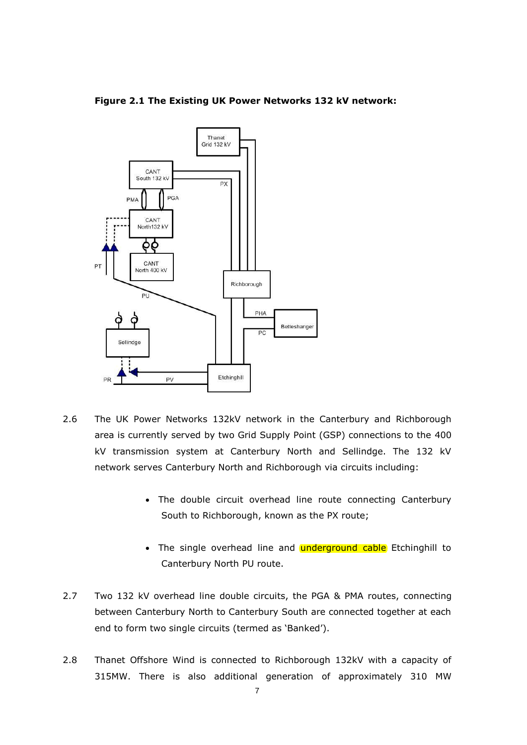



- 2.6 The UK Power Networks 132kV network in the Canterbury and Richborough area is currently served by two Grid Supply Point (GSP) connections to the 400 kV transmission system at Canterbury North and Sellindge. The 132 kV network serves Canterbury North and Richborough via circuits including:
	- The double circuit overhead line route connecting Canterbury South to Richborough, known as the PX route;
	- The single overhead line and **underground cable** Etchinghill to Canterbury North PU route.
- 2.7 Two 132 kV overhead line double circuits, the PGA & PMA routes, connecting between Canterbury North to Canterbury South are connected together at each end to form two single circuits (termed as 'Banked').
- 2.8 Thanet Offshore Wind is connected to Richborough 132kV with a capacity of 315MW. There is also additional generation of approximately 310 MW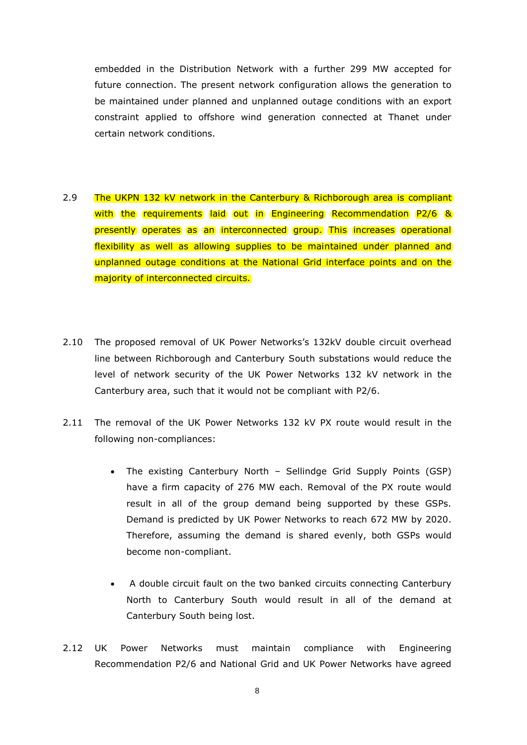embedded in the Distribution Network with a further 299 MW accepted for future connection. The present network configuration allows the generation to be maintained under planned and unplanned outage conditions with an export constraint applied to offshore wind generation connected at Thanet under certain network conditions.

- 2.9 The UKPN 132 kV network in the Canterbury & Richborough area is compliant with the requirements laid out in Engineering Recommendation P2/6 & presently operates as an interconnected group. This increases operational flexibility as well as allowing supplies to be maintained under planned and unplanned outage conditions at the National Grid interface points and on the majority of interconnected circuits.
- 2.10 The proposed removal of UK Power Networks's 132kV double circuit overhead line between Richborough and Canterbury South substations would reduce the level of network security of the UK Power Networks 132 kV network in the Canterbury area, such that it would not be compliant with P2/6.
- 2.11 The removal of the UK Power Networks 132 kV PX route would result in the following non-compliances:
	- The existing Canterbury North Sellindge Grid Supply Points (GSP) have a firm capacity of 276 MW each. Removal of the PX route would result in all of the group demand being supported by these GSPs. Demand is predicted by UK Power Networks to reach 672 MW by 2020. Therefore, assuming the demand is shared evenly, both GSPs would become non-compliant.
	- A double circuit fault on the two banked circuits connecting Canterbury North to Canterbury South would result in all of the demand at Canterbury South being lost.
- 2.12 UK Power Networks must maintain compliance with Engineering Recommendation P2/6 and National Grid and UK Power Networks have agreed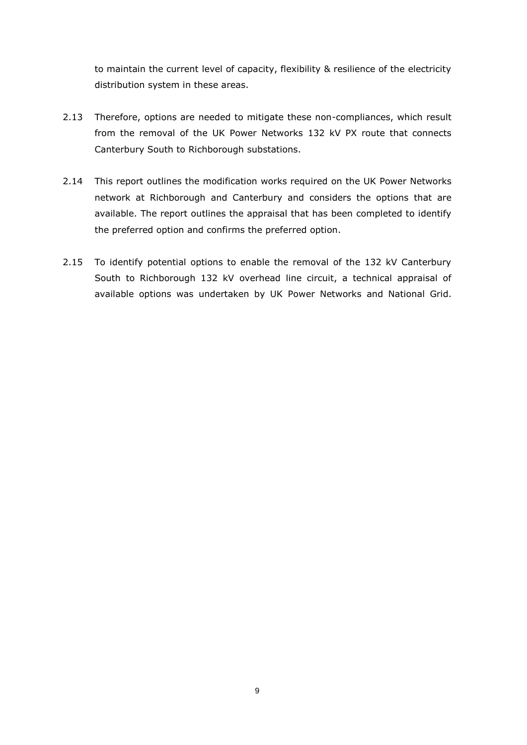to maintain the current level of capacity, flexibility & resilience of the electricity distribution system in these areas.

- 2.13 Therefore, options are needed to mitigate these non-compliances, which result from the removal of the UK Power Networks 132 kV PX route that connects Canterbury South to Richborough substations.
- 2.14 This report outlines the modification works required on the UK Power Networks network at Richborough and Canterbury and considers the options that are available. The report outlines the appraisal that has been completed to identify the preferred option and confirms the preferred option.
- 2.15 To identify potential options to enable the removal of the 132 kV Canterbury South to Richborough 132 kV overhead line circuit, a technical appraisal of available options was undertaken by UK Power Networks and National Grid.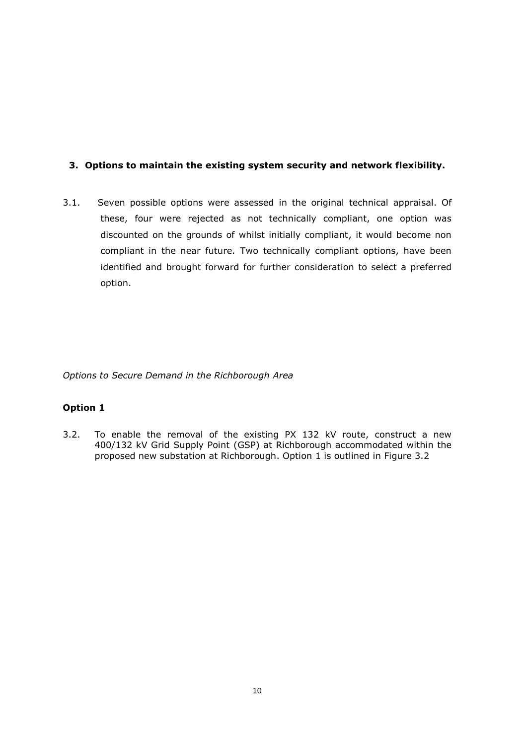# <span id="page-9-0"></span>**3. Options to maintain the existing system security and network flexibility.**

3.1. Seven possible options were assessed in the original technical appraisal. Of these, four were rejected as not technically compliant, one option was discounted on the grounds of whilst initially compliant, it would become non compliant in the near future. Two technically compliant options, have been identified and brought forward for further consideration to select a preferred option.

*Options to Secure Demand in the Richborough Area*

# **Option 1**

3.2. To enable the removal of the existing PX 132 kV route, construct a new 400/132 kV Grid Supply Point (GSP) at Richborough accommodated within the proposed new substation at Richborough. Option 1 is outlined in Figure 3.2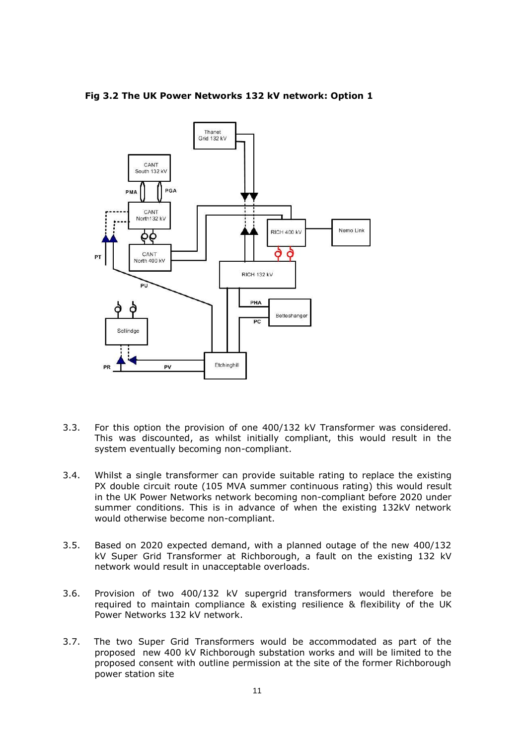

#### **Fig 3.2 The UK Power Networks 132 kV network: Option 1**

- 3.3. For this option the provision of one 400/132 kV Transformer was considered. This was discounted, as whilst initially compliant, this would result in the system eventually becoming non-compliant.
- 3.4. Whilst a single transformer can provide suitable rating to replace the existing PX double circuit route (105 MVA summer continuous rating) this would result in the UK Power Networks network becoming non-compliant before 2020 under summer conditions. This is in advance of when the existing 132kV network would otherwise become non-compliant.
- 3.5. Based on 2020 expected demand, with a planned outage of the new 400/132 kV Super Grid Transformer at Richborough, a fault on the existing 132 kV network would result in unacceptable overloads.
- 3.6. Provision of two 400/132 kV supergrid transformers would therefore be required to maintain compliance & existing resilience & flexibility of the UK Power Networks 132 kV network.
- 3.7. The two Super Grid Transformers would be accommodated as part of the proposed new 400 kV Richborough substation works and will be limited to the proposed consent with outline permission at the site of the former Richborough power station site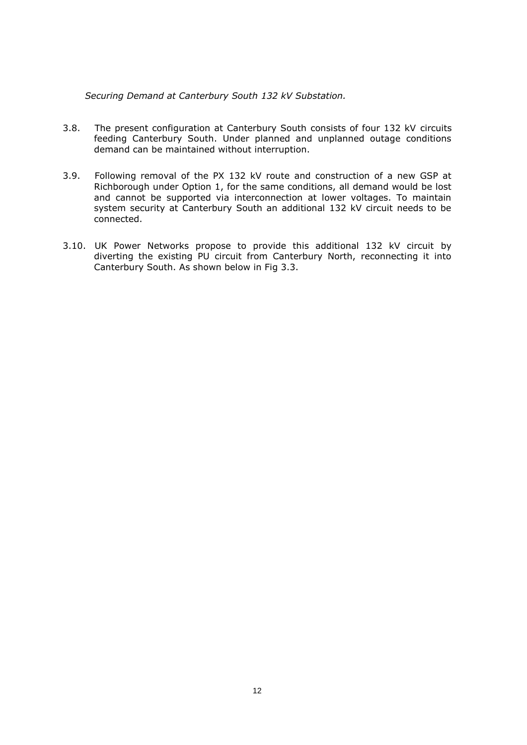*Securing Demand at Canterbury South 132 kV Substation.*

- 3.8. The present configuration at Canterbury South consists of four 132 kV circuits feeding Canterbury South. Under planned and unplanned outage conditions demand can be maintained without interruption.
- 3.9. Following removal of the PX 132 kV route and construction of a new GSP at Richborough under Option 1, for the same conditions, all demand would be lost and cannot be supported via interconnection at lower voltages. To maintain system security at Canterbury South an additional 132 kV circuit needs to be connected.
- 3.10. UK Power Networks propose to provide this additional 132 kV circuit by diverting the existing PU circuit from Canterbury North, reconnecting it into Canterbury South. As shown below in Fig 3.3.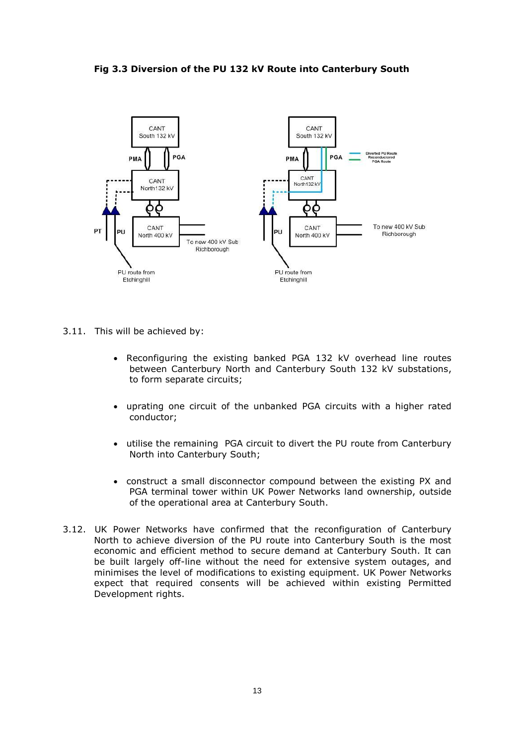

#### **Fig 3.3 Diversion of the PU 132 kV Route into Canterbury South**

- 3.11. This will be achieved by:
	- Reconfiguring the existing banked PGA 132 kV overhead line routes between Canterbury North and Canterbury South 132 kV substations, to form separate circuits;
	- uprating one circuit of the unbanked PGA circuits with a higher rated conductor;
	- utilise the remaining PGA circuit to divert the PU route from Canterbury North into Canterbury South;
	- construct a small disconnector compound between the existing PX and PGA terminal tower within UK Power Networks land ownership, outside of the operational area at Canterbury South.
- 3.12. UK Power Networks have confirmed that the reconfiguration of Canterbury North to achieve diversion of the PU route into Canterbury South is the most economic and efficient method to secure demand at Canterbury South. It can be built largely off-line without the need for extensive system outages, and minimises the level of modifications to existing equipment. UK Power Networks expect that required consents will be achieved within existing Permitted Development rights.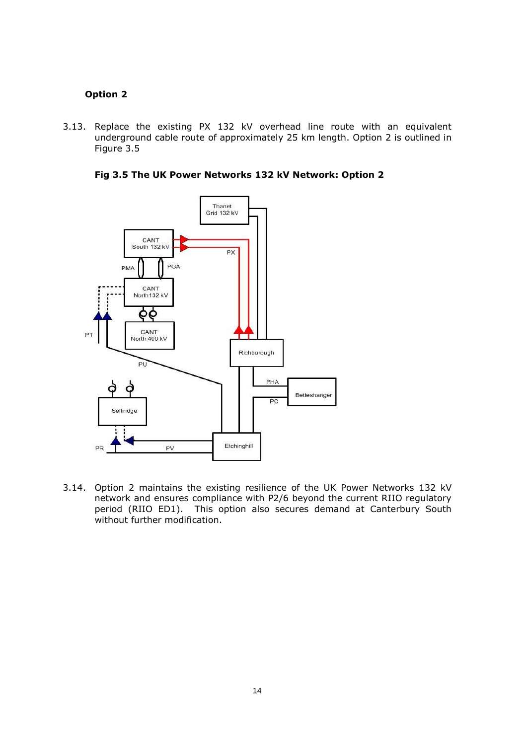### **Option 2**

3.13. Replace the existing PX 132 kV overhead line route with an equivalent underground cable route of approximately 25 km length. Option 2 is outlined in Figure 3.5

**Fig 3.5 The UK Power Networks 132 kV Network: Option 2**



3.14. Option 2 maintains the existing resilience of the UK Power Networks 132 kV network and ensures compliance with P2/6 beyond the current RIIO regulatory period (RIIO ED1). This option also secures demand at Canterbury South without further modification.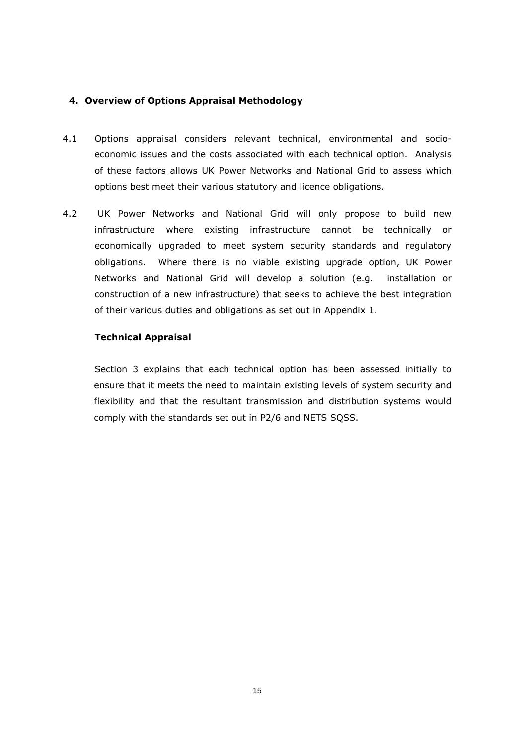### <span id="page-14-0"></span>**4. Overview of Options Appraisal Methodology**

- 4.1 Options appraisal considers relevant technical, environmental and socioeconomic issues and the costs associated with each technical option. Analysis of these factors allows UK Power Networks and National Grid to assess which options best meet their various statutory and licence obligations.
- 4.2 UK Power Networks and National Grid will only propose to build new infrastructure where existing infrastructure cannot be technically or economically upgraded to meet system security standards and regulatory obligations. Where there is no viable existing upgrade option, UK Power Networks and National Grid will develop a solution (e.g. installation or construction of a new infrastructure) that seeks to achieve the best integration of their various duties and obligations as set out in Appendix 1.

#### **Technical Appraisal**

Section 3 explains that each technical option has been assessed initially to ensure that it meets the need to maintain existing levels of system security and flexibility and that the resultant transmission and distribution systems would comply with the standards set out in P2/6 and NETS SQSS.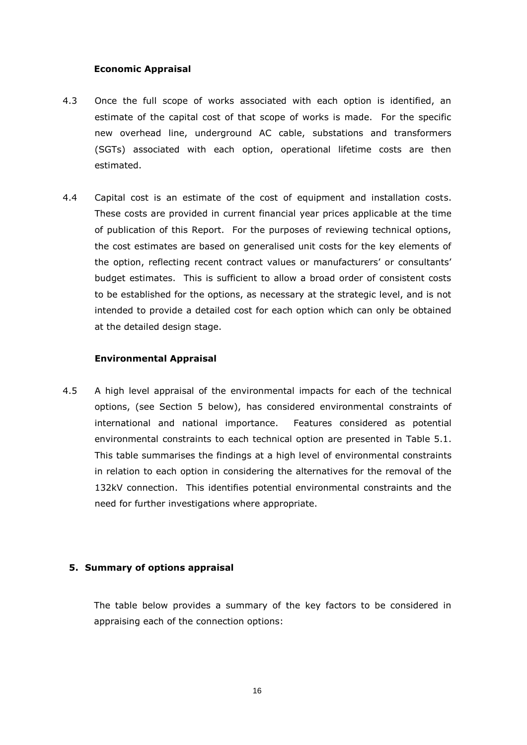### **Economic Appraisal**

- 4.3 Once the full scope of works associated with each option is identified, an estimate of the capital cost of that scope of works is made. For the specific new overhead line, underground AC cable, substations and transformers (SGTs) associated with each option, operational lifetime costs are then estimated.
- 4.4 Capital cost is an estimate of the cost of equipment and installation costs. These costs are provided in current financial year prices applicable at the time of publication of this Report. For the purposes of reviewing technical options, the cost estimates are based on generalised unit costs for the key elements of the option, reflecting recent contract values or manufacturers' or consultants' budget estimates. This is sufficient to allow a broad order of consistent costs to be established for the options, as necessary at the strategic level, and is not intended to provide a detailed cost for each option which can only be obtained at the detailed design stage.

### **Environmental Appraisal**

4.5 A high level appraisal of the environmental impacts for each of the technical options, (see Section 5 below), has considered environmental constraints of international and national importance. Features considered as potential environmental constraints to each technical option are presented in Table 5.1. This table summarises the findings at a high level of environmental constraints in relation to each option in considering the alternatives for the removal of the 132kV connection. This identifies potential environmental constraints and the need for further investigations where appropriate.

#### <span id="page-15-0"></span>**5. Summary of options appraisal**

The table below provides a summary of the key factors to be considered in appraising each of the connection options: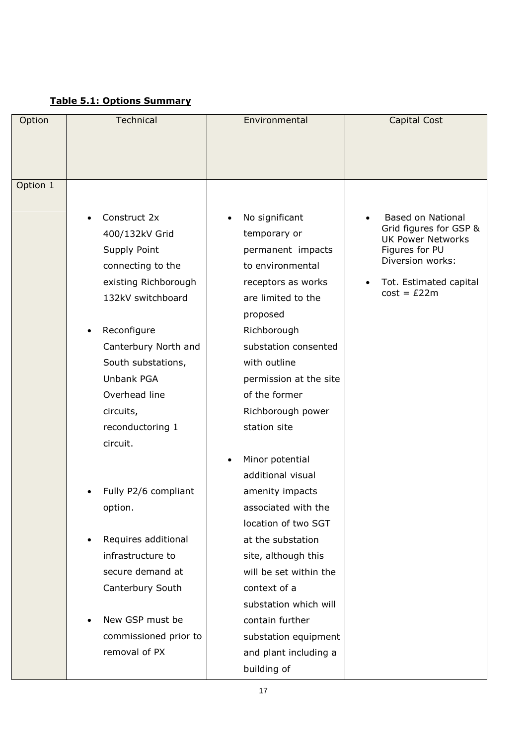# **Table 5.1: Options Summary**

| Option   | Technical                                                                                                                                                                                                                                                                                                                                                                                           | Environmental                                                                                                                                                                                                                                                                                                                                                                                                                                                                                                     | <b>Capital Cost</b>                                                                                                                                             |
|----------|-----------------------------------------------------------------------------------------------------------------------------------------------------------------------------------------------------------------------------------------------------------------------------------------------------------------------------------------------------------------------------------------------------|-------------------------------------------------------------------------------------------------------------------------------------------------------------------------------------------------------------------------------------------------------------------------------------------------------------------------------------------------------------------------------------------------------------------------------------------------------------------------------------------------------------------|-----------------------------------------------------------------------------------------------------------------------------------------------------------------|
|          |                                                                                                                                                                                                                                                                                                                                                                                                     |                                                                                                                                                                                                                                                                                                                                                                                                                                                                                                                   |                                                                                                                                                                 |
|          |                                                                                                                                                                                                                                                                                                                                                                                                     |                                                                                                                                                                                                                                                                                                                                                                                                                                                                                                                   |                                                                                                                                                                 |
|          |                                                                                                                                                                                                                                                                                                                                                                                                     |                                                                                                                                                                                                                                                                                                                                                                                                                                                                                                                   |                                                                                                                                                                 |
| Option 1 |                                                                                                                                                                                                                                                                                                                                                                                                     |                                                                                                                                                                                                                                                                                                                                                                                                                                                                                                                   |                                                                                                                                                                 |
|          |                                                                                                                                                                                                                                                                                                                                                                                                     |                                                                                                                                                                                                                                                                                                                                                                                                                                                                                                                   |                                                                                                                                                                 |
|          | Construct 2x<br>400/132kV Grid<br>Supply Point<br>connecting to the<br>existing Richborough<br>132kV switchboard<br>Reconfigure<br>Canterbury North and<br>South substations,<br>Unbank PGA<br>Overhead line<br>circuits,<br>reconductoring 1<br>circuit.<br>Fully P2/6 compliant<br>option.<br>Requires additional<br>infrastructure to<br>secure demand at<br>Canterbury South<br>New GSP must be | No significant<br>temporary or<br>permanent impacts<br>to environmental<br>receptors as works<br>are limited to the<br>proposed<br>Richborough<br>substation consented<br>with outline<br>permission at the site<br>of the former<br>Richborough power<br>station site<br>Minor potential<br>additional visual<br>amenity impacts<br>associated with the<br>location of two SGT<br>at the substation<br>site, although this<br>will be set within the<br>context of a<br>substation which will<br>contain further | <b>Based on National</b><br>Grid figures for GSP &<br><b>UK Power Networks</b><br>Figures for PU<br>Diversion works:<br>Tot. Estimated capital<br>$cost = £22m$ |
|          | commissioned prior to                                                                                                                                                                                                                                                                                                                                                                               | substation equipment                                                                                                                                                                                                                                                                                                                                                                                                                                                                                              |                                                                                                                                                                 |
|          | removal of PX                                                                                                                                                                                                                                                                                                                                                                                       | and plant including a                                                                                                                                                                                                                                                                                                                                                                                                                                                                                             |                                                                                                                                                                 |
|          |                                                                                                                                                                                                                                                                                                                                                                                                     | building of                                                                                                                                                                                                                                                                                                                                                                                                                                                                                                       |                                                                                                                                                                 |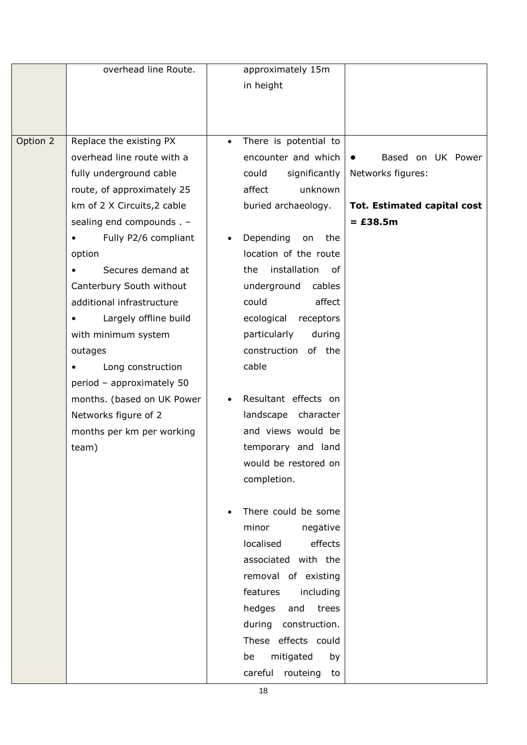|          | overhead line Route.                                                                                                                                                                                                                                                                                                                                                                                                                                          | approximately 15m<br>in height                                                                                                                                                                                                                                                                                                                                                        |                                                                                     |
|----------|---------------------------------------------------------------------------------------------------------------------------------------------------------------------------------------------------------------------------------------------------------------------------------------------------------------------------------------------------------------------------------------------------------------------------------------------------------------|---------------------------------------------------------------------------------------------------------------------------------------------------------------------------------------------------------------------------------------------------------------------------------------------------------------------------------------------------------------------------------------|-------------------------------------------------------------------------------------|
| Option 2 | Replace the existing PX<br>overhead line route with a<br>fully underground cable<br>route, of approximately 25<br>km of 2 X Circuits, 2 cable<br>sealing end compounds . -<br>Fully P2/6 compliant<br>option<br>Secures demand at<br>Canterbury South without<br>additional infrastructure<br>Largely offline build<br>with minimum system<br>outages<br>Long construction<br>period - approximately 50<br>months. (based on UK Power<br>Networks figure of 2 | There is potential to<br>encounter and which<br>significantly<br>could<br>affect<br>unknown<br>buried archaeology.<br>Depending<br>the<br>on<br>location of the route<br>installation<br>the<br>of<br>underground<br>cables<br>could<br>affect<br>ecological<br>receptors<br>particularly<br>during<br>construction<br>of the<br>cable<br>Resultant effects on<br>landscape character | Based on UK Power<br>Networks figures:<br>Tot. Estimated capital cost<br>$=$ £38.5m |
|          | months per km per working<br>team)                                                                                                                                                                                                                                                                                                                                                                                                                            | and views would be<br>temporary and land<br>would be restored on<br>completion.<br>There could be some<br>minor<br>negative<br>localised<br>effects<br>associated with the<br>removal of existing<br>features<br>including<br>hedges<br>and<br>trees<br>during construction.<br>These effects could<br>mitigated<br>by<br>be<br>careful<br>routeing<br>to                             |                                                                                     |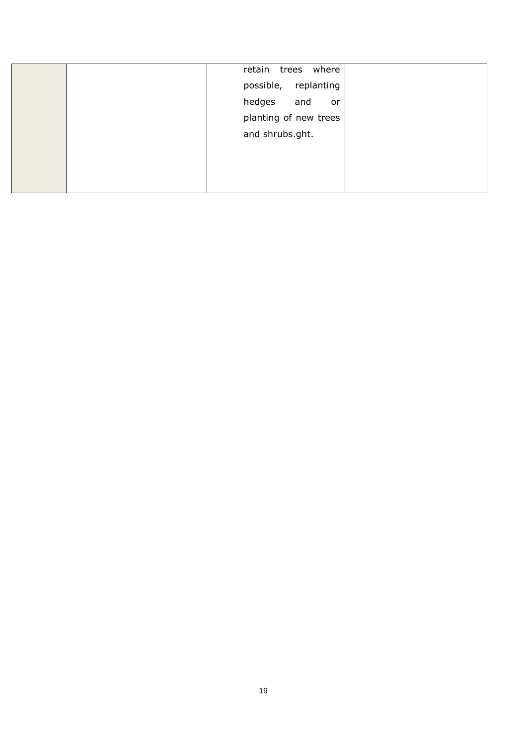| retain trees<br>where |  |
|-----------------------|--|
| possible, replanting  |  |
| hedges<br>and<br>or   |  |
| planting of new trees |  |
| and shrubs.ght.       |  |
|                       |  |
|                       |  |
|                       |  |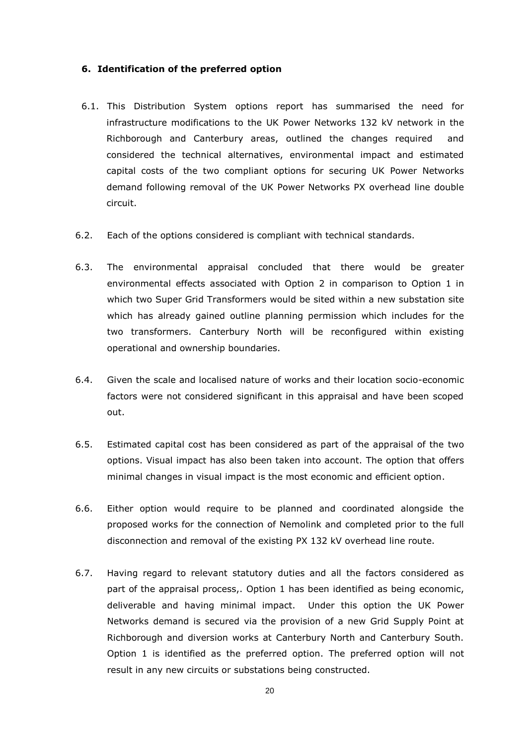#### <span id="page-19-0"></span>**6. Identification of the preferred option**

- 6.1. This Distribution System options report has summarised the need for infrastructure modifications to the UK Power Networks 132 kV network in the Richborough and Canterbury areas, outlined the changes required and considered the technical alternatives, environmental impact and estimated capital costs of the two compliant options for securing UK Power Networks demand following removal of the UK Power Networks PX overhead line double circuit.
- 6.2. Each of the options considered is compliant with technical standards.
- 6.3. The environmental appraisal concluded that there would be greater environmental effects associated with Option 2 in comparison to Option 1 in which two Super Grid Transformers would be sited within a new substation site which has already gained outline planning permission which includes for the two transformers. Canterbury North will be reconfigured within existing operational and ownership boundaries.
- 6.4. Given the scale and localised nature of works and their location socio-economic factors were not considered significant in this appraisal and have been scoped out.
- 6.5. Estimated capital cost has been considered as part of the appraisal of the two options. Visual impact has also been taken into account. The option that offers minimal changes in visual impact is the most economic and efficient option.
- 6.6. Either option would require to be planned and coordinated alongside the proposed works for the connection of Nemolink and completed prior to the full disconnection and removal of the existing PX 132 kV overhead line route.
- 6.7. Having regard to relevant statutory duties and all the factors considered as part of the appraisal process,. Option 1 has been identified as being economic, deliverable and having minimal impact. Under this option the UK Power Networks demand is secured via the provision of a new Grid Supply Point at Richborough and diversion works at Canterbury North and Canterbury South. Option 1 is identified as the preferred option. The preferred option will not result in any new circuits or substations being constructed.